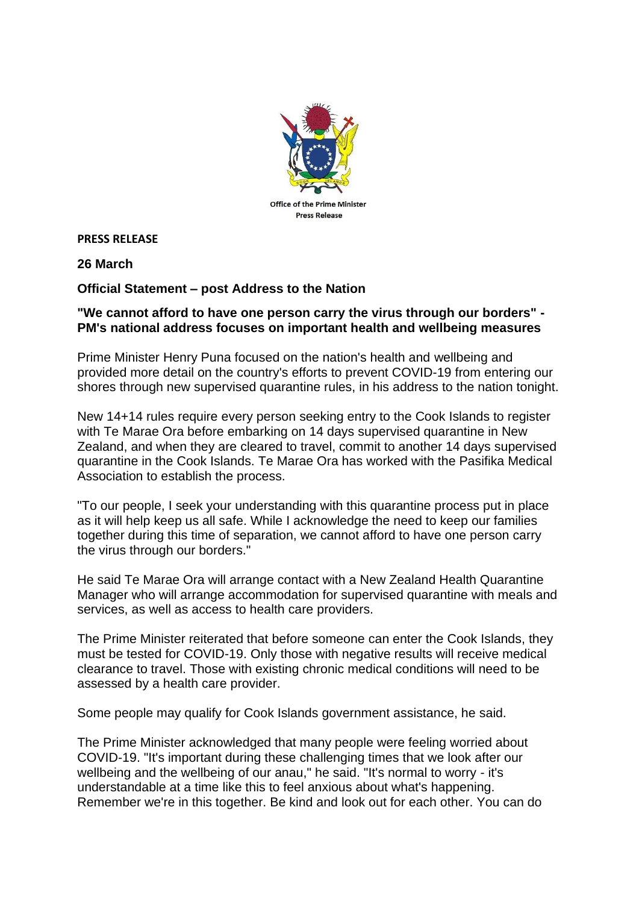

**PRESS RELEASE** 

**26 March**

## **Official Statement – post Address to the Nation**

## **"We cannot afford to have one person carry the virus through our borders" - PM's national address focuses on important health and wellbeing measures**

Prime Minister Henry Puna focused on the nation's health and wellbeing and provided more detail on the country's efforts to prevent COVID-19 from entering our shores through new supervised quarantine rules, in his address to the nation tonight.

New 14+14 rules require every person seeking entry to the Cook Islands to register with Te Marae Ora before embarking on 14 days supervised quarantine in New Zealand, and when they are cleared to travel, commit to another 14 days supervised quarantine in the Cook Islands. Te Marae Ora has worked with the Pasifika Medical Association to establish the process.

"To our people, I seek your understanding with this quarantine process put in place as it will help keep us all safe. While I acknowledge the need to keep our families together during this time of separation, we cannot afford to have one person carry the virus through our borders."

He said Te Marae Ora will arrange contact with a New Zealand Health Quarantine Manager who will arrange accommodation for supervised quarantine with meals and services, as well as access to health care providers.

The Prime Minister reiterated that before someone can enter the Cook Islands, they must be tested for COVID-19. Only those with negative results will receive medical clearance to travel. Those with existing chronic medical conditions will need to be assessed by a health care provider.

Some people may qualify for Cook Islands government assistance, he said.

The Prime Minister acknowledged that many people were feeling worried about COVID-19. "It's important during these challenging times that we look after our wellbeing and the wellbeing of our anau," he said. "It's normal to worry - it's understandable at a time like this to feel anxious about what's happening. Remember we're in this together. Be kind and look out for each other. You can do